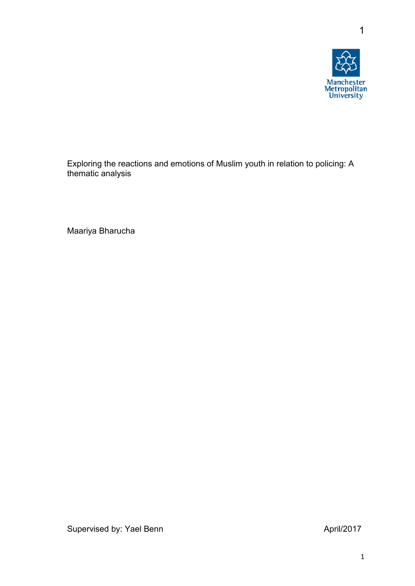

1

Exploring the reactions and emotions of Muslim youth in relation to policing: A thematic analysis

Maariya Bharucha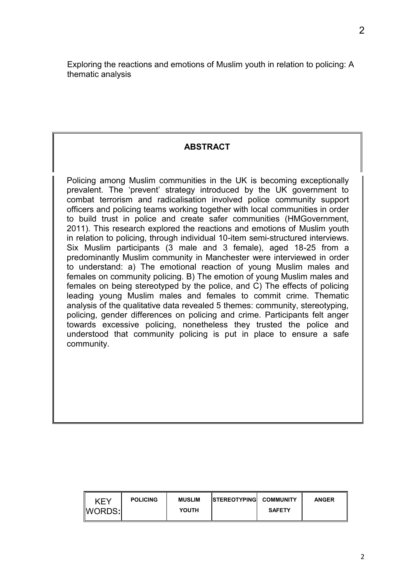Exploring the reactions and emotions of Muslim youth in relation to policing: A thematic analysis

# **ABSTRACT**

Policing among Muslim communities in the UK is becoming exceptionally prevalent. The 'prevent' strategy introduced by the UK government to combat terrorism and radicalisation involved police community support officers and policing teams working together with local communities in order to build trust in police and create safer communities (HMGovernment, 2011). This research explored the reactions and emotions of Muslim youth in relation to policing, through individual 10-item semi-structured interviews. Six Muslim participants (3 male and 3 female), aged 18-25 from a predominantly Muslim community in Manchester were interviewed in order to understand: a) The emotional reaction of young Muslim males and females on community policing. B) The emotion of young Muslim males and females on being stereotyped by the police, and C) The effects of policing leading young Muslim males and females to commit crime. Thematic analysis of the qualitative data revealed 5 themes: community, stereotyping, policing, gender differences on policing and crime. Participants felt anger towards excessive policing, nonetheless they trusted the police and understood that community policing is put in place to ensure a safe community.

| <b>POLICING</b><br><b>KEY</b><br>WORDS: | <b>MUSLIM</b><br><b>YOUTH</b> | <b>ISTEREOTYPING COMMUNITY</b> | <b>SAFETY</b> | <b>ANGER</b> |
|-----------------------------------------|-------------------------------|--------------------------------|---------------|--------------|
|-----------------------------------------|-------------------------------|--------------------------------|---------------|--------------|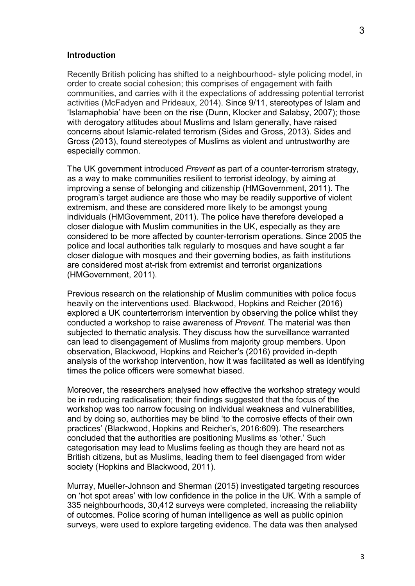#### **Introduction**

Recently British policing has shifted to a neighbourhood- style policing model, in order to create social cohesion; this comprises of engagement with faith communities, and carries with it the expectations of addressing potential terrorist activities (McFadyen and Prideaux, 2014). Since 9/11, stereotypes of Islam and 'Islamaphobia' have been on the rise (Dunn, Klocker and Salabsy, 2007); those with derogatory attitudes about Muslims and Islam generally, have raised concerns about Islamic-related terrorism (Sides and Gross, 2013). Sides and Gross (2013), found stereotypes of Muslims as violent and untrustworthy are especially common.

The UK government introduced *Prevent* as part of a counter-terrorism strategy, as a way to make communities resilient to terrorist ideology, by aiming at improving a sense of belonging and citizenship (HMGovernment, 2011). The program's target audience are those who may be readily supportive of violent extremism, and these are considered more likely to be amongst young individuals (HMGovernment, 2011). The police have therefore developed a closer dialogue with Muslim communities in the UK, especially as they are considered to be more affected by counter-terrorism operations. Since 2005 the police and local authorities talk regularly to mosques and have sought a far closer dialogue with mosques and their governing bodies, as faith institutions are considered most at-risk from extremist and terrorist organizations (HMGovernment, 2011).

Previous research on the relationship of Muslim communities with police focus heavily on the interventions used. Blackwood, Hopkins and Reicher (2016) explored a UK counterterrorism intervention by observing the police whilst they conducted a workshop to raise awareness of *Prevent*. The material was then subjected to thematic analysis. They discuss how the surveillance warranted can lead to disengagement of Muslims from majority group members. Upon observation, Blackwood, Hopkins and Reicher's (2016) provided in-depth analysis of the workshop intervention, how it was facilitated as well as identifying times the police officers were somewhat biased.

Moreover, the researchers analysed how effective the workshop strategy would be in reducing radicalisation; their findings suggested that the focus of the workshop was too narrow focusing on individual weakness and vulnerabilities, and by doing so, authorities may be blind 'to the corrosive effects of their own practices' (Blackwood, Hopkins and Reicher's, 2016:609). The researchers concluded that the authorities are positioning Muslims as 'other.' Such categorisation may lead to Muslims feeling as though they are heard not as British citizens, but as Muslims, leading them to feel disengaged from wider society (Hopkins and Blackwood, 2011).

Murray, Mueller-Johnson and Sherman (2015) investigated targeting resources on 'hot spot areas' with low confidence in the police in the UK. With a sample of 335 neighbourhoods, 30,412 surveys were completed, increasing the reliability of outcomes. Police scoring of human intelligence as well as public opinion surveys, were used to explore targeting evidence. The data was then analysed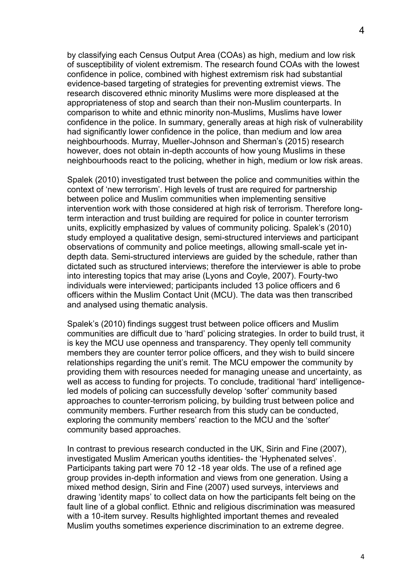by classifying each Census Output Area (COAs) as high, medium and low risk of susceptibility of violent extremism. The research found COAs with the lowest confidence in police, combined with highest extremism risk had substantial evidence-based targeting of strategies for preventing extremist views. The research discovered ethnic minority Muslims were more displeased at the appropriateness of stop and search than their non-Muslim counterparts. In comparison to white and ethnic minority non-Muslims, Muslims have lower confidence in the police. In summary, generally areas at high risk of vulnerability had significantly lower confidence in the police, than medium and low area neighbourhoods. Murray, Mueller-Johnson and Sherman's (2015) research however, does not obtain in-depth accounts of how young Muslims in these neighbourhoods react to the policing, whether in high, medium or low risk areas.

Spalek (2010) investigated trust between the police and communities within the context of 'new terrorism'. High levels of trust are required for partnership between police and Muslim communities when implementing sensitive intervention work with those considered at high risk of terrorism. Therefore longterm interaction and trust building are required for police in counter terrorism units, explicitly emphasized by values of community policing. Spalek's (2010) study employed a qualitative design, semi-structured interviews and participant observations of community and police meetings, allowing small-scale yet indepth data. Semi-structured interviews are guided by the schedule, rather than dictated such as structured interviews; therefore the interviewer is able to probe into interesting topics that may arise (Lyons and Coyle, 2007). Fourty-two individuals were interviewed; participants included 13 police officers and 6 officers within the Muslim Contact Unit (MCU). The data was then transcribed and analysed using thematic analysis.

Spalek's (2010) findings suggest trust between police officers and Muslim communities are difficult due to 'hard' policing strategies. In order to build trust, it is key the MCU use openness and transparency. They openly tell community members they are counter terror police officers, and they wish to build sincere relationships regarding the unit's remit. The MCU empower the community by providing them with resources needed for managing unease and uncertainty, as well as access to funding for projects. To conclude, traditional 'hard' intelligenceled models of policing can successfully develop 'softer' community based approaches to counter-terrorism policing, by building trust between police and community members. Further research from this study can be conducted, exploring the community members' reaction to the MCU and the 'softer' community based approaches.

In contrast to previous research conducted in the UK, Sirin and Fine (2007), investigated Muslim American youths identities- the 'Hyphenated selves'. Participants taking part were 70 12 -18 year olds. The use of a refined age group provides in-depth information and views from one generation. Using a mixed method design, Sirin and Fine (2007) used surveys, interviews and drawing 'identity maps' to collect data on how the participants felt being on the fault line of a global conflict. Ethnic and religious discrimination was measured with a 10-item survey. Results highlighted important themes and revealed Muslim youths sometimes experience discrimination to an extreme degree.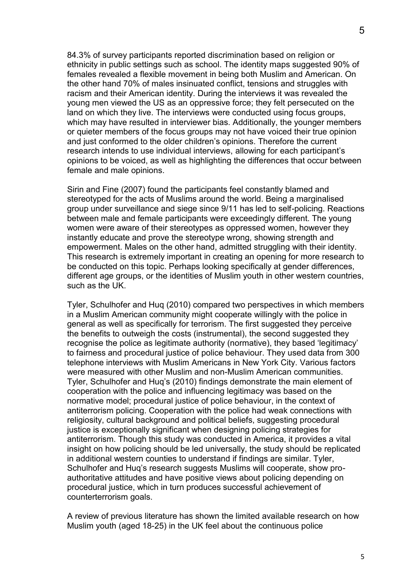84.3% of survey participants reported discrimination based on religion or ethnicity in public settings such as school. The identity maps suggested 90% of females revealed a flexible movement in being both Muslim and American. On the other hand 70% of males insinuated conflict, tensions and struggles with racism and their American identity. During the interviews it was revealed the young men viewed the US as an oppressive force; they felt persecuted on the land on which they live. The interviews were conducted using focus groups, which may have resulted in interviewer bias. Additionally, the younger members or quieter members of the focus groups may not have voiced their true opinion and just conformed to the older children's opinions. Therefore the current research intends to use individual interviews, allowing for each participant's opinions to be voiced, as well as highlighting the differences that occur between female and male opinions.

Sirin and Fine (2007) found the participants feel constantly blamed and stereotyped for the acts of Muslims around the world. Being a marginalised group under surveillance and siege since 9/11 has led to self-policing. Reactions between male and female participants were exceedingly different. The young women were aware of their stereotypes as oppressed women, however they instantly educate and prove the stereotype wrong, showing strength and empowerment. Males on the other hand, admitted struggling with their identity. This research is extremely important in creating an opening for more research to be conducted on this topic. Perhaps looking specifically at gender differences, different age groups, or the identities of Muslim youth in other western countries, such as the UK.

Tyler, Schulhofer and Huq (2010) compared two perspectives in which members in a Muslim American community might cooperate willingly with the police in general as well as specifically for terrorism. The first suggested they perceive the benefits to outweigh the costs (instrumental), the second suggested they recognise the police as legitimate authority (normative), they based 'legitimacy' to fairness and procedural justice of police behaviour. They used data from 300 telephone interviews with Muslim Americans in New York City. Various factors were measured with other Muslim and non-Muslim American communities. Tyler, Schulhofer and Huq's (2010) findings demonstrate the main element of cooperation with the police and influencing legitimacy was based on the normative model; procedural justice of police behaviour, in the context of antiterrorism policing. Cooperation with the police had weak connections with religiosity, cultural background and political beliefs, suggesting procedural justice is exceptionally significant when designing policing strategies for antiterrorism. Though this study was conducted in America, it provides a vital insight on how policing should be led universally, the study should be replicated in additional western counties to understand if findings are similar. Tyler, Schulhofer and Huq's research suggests Muslims will cooperate, show proauthoritative attitudes and have positive views about policing depending on procedural justice, which in turn produces successful achievement of counterterrorism goals.

A review of previous literature has shown the limited available research on how Muslim youth (aged 18-25) in the UK feel about the continuous police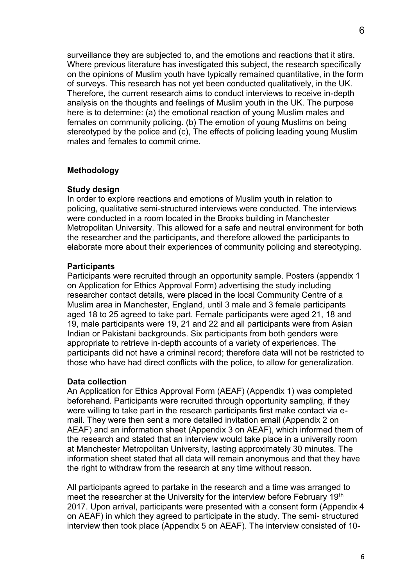surveillance they are subjected to, and the emotions and reactions that it stirs. Where previous literature has investigated this subject, the research specifically on the opinions of Muslim youth have typically remained quantitative, in the form of surveys. This research has not yet been conducted qualitatively, in the UK. Therefore, the current research aims to conduct interviews to receive in-depth analysis on the thoughts and feelings of Muslim youth in the UK. The purpose here is to determine: (a) the emotional reaction of young Muslim males and females on community policing. (b) The emotion of young Muslims on being stereotyped by the police and (c), The effects of policing leading young Muslim males and females to commit crime.

### **Methodology**

#### **Study design**

In order to explore reactions and emotions of Muslim youth in relation to policing, qualitative semi-structured interviews were conducted. The interviews were conducted in a room located in the Brooks building in Manchester Metropolitan University. This allowed for a safe and neutral environment for both the researcher and the participants, and therefore allowed the participants to elaborate more about their experiences of community policing and stereotyping.

#### **Participants**

Participants were recruited through an opportunity sample. Posters (appendix 1 on Application for Ethics Approval Form) advertising the study including researcher contact details, were placed in the local Community Centre of a Muslim area in Manchester, England, until 3 male and 3 female participants aged 18 to 25 agreed to take part. Female participants were aged 21, 18 and 19, male participants were 19, 21 and 22 and all participants were from Asian Indian or Pakistani backgrounds. Six participants from both genders were appropriate to retrieve in-depth accounts of a variety of experiences. The participants did not have a criminal record; therefore data will not be restricted to those who have had direct conflicts with the police, to allow for generalization.

#### **Data collection**

An Application for Ethics Approval Form (AEAF) (Appendix 1) was completed beforehand. Participants were recruited through opportunity sampling, if they were willing to take part in the research participants first make contact via email. They were then sent a more detailed invitation email (Appendix 2 on AEAF) and an information sheet (Appendix 3 on AEAF), which informed them of the research and stated that an interview would take place in a university room at Manchester Metropolitan University, lasting approximately 30 minutes. The information sheet stated that all data will remain anonymous and that they have the right to withdraw from the research at any time without reason.

All participants agreed to partake in the research and a time was arranged to meet the researcher at the University for the interview before February 19<sup>th</sup> 2017. Upon arrival, participants were presented with a consent form (Appendix 4 on AEAF) in which they agreed to participate in the study. The semi- structured interview then took place (Appendix 5 on AEAF). The interview consisted of 10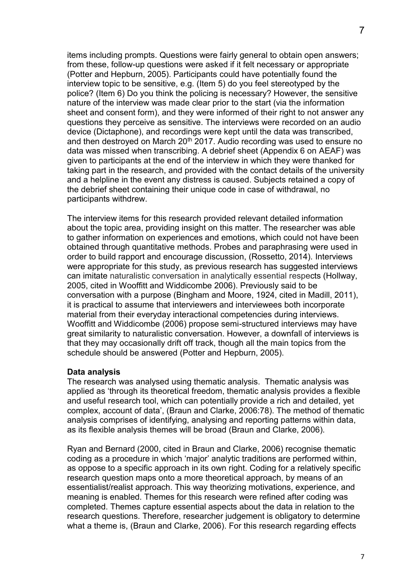items including prompts. Questions were fairly general to obtain open answers; from these, follow-up questions were asked if it felt necessary or appropriate (Potter and Hepburn, 2005). Participants could have potentially found the interview topic to be sensitive, e.g. (Item 5) do you feel stereotyped by the police? (Item 6) Do you think the policing is necessary? However, the sensitive nature of the interview was made clear prior to the start (via the information sheet and consent form), and they were informed of their right to not answer any questions they perceive as sensitive. The interviews were recorded on an audio device (Dictaphone), and recordings were kept until the data was transcribed, and then destroyed on March 20<sup>th</sup> 2017. Audio recording was used to ensure no data was missed when transcribing. A debrief sheet (Appendix 6 on AEAF) was given to participants at the end of the interview in which they were thanked for taking part in the research, and provided with the contact details of the university and a helpline in the event any distress is caused. Subjects retained a copy of the debrief sheet containing their unique code in case of withdrawal, no participants withdrew.

The interview items for this research provided relevant detailed information about the topic area, providing insight on this matter. The researcher was able to gather information on experiences and emotions, which could not have been obtained through quantitative methods. Probes and paraphrasing were used in order to build rapport and encourage discussion, (Rossetto, 2014). Interviews were appropriate for this study, as previous research has suggested interviews can imitate naturalistic conversation in analytically essential respects (Hollway, 2005, cited in Wooffitt and Widdicombe 2006). Previously said to be conversation with a purpose (Bingham and Moore, 1924, cited in Madill, 2011), it is practical to assume that interviewers and interviewees both incorporate material from their everyday interactional competencies during interviews. Wooffitt and Widdicombe (2006) propose semi-structured interviews may have great similarity to naturalistic conversation. However, a downfall of interviews is that they may occasionally drift off track, though all the main topics from the schedule should be answered (Potter and Hepburn, 2005).

### **Data analysis**

The research was analysed using thematic analysis. Thematic analysis was applied as 'through its theoretical freedom, thematic analysis provides a flexible and useful research tool, which can potentially provide a rich and detailed, yet complex, account of data', (Braun and Clarke, 2006:78). The method of thematic analysis comprises of identifying, analysing and reporting patterns within data, as its flexible analysis themes will be broad (Braun and Clarke, 2006).

Ryan and Bernard (2000, cited in Braun and Clarke, 2006) recognise thematic coding as a procedure in which 'major' analytic traditions are performed within, as oppose to a specific approach in its own right. Coding for a relatively specific research question maps onto a more theoretical approach, by means of an essentialist/realist approach. This way theorizing motivations, experience, and meaning is enabled. Themes for this research were refined after coding was completed. Themes capture essential aspects about the data in relation to the research questions. Therefore, researcher judgement is obligatory to determine what a theme is, (Braun and Clarke, 2006). For this research regarding effects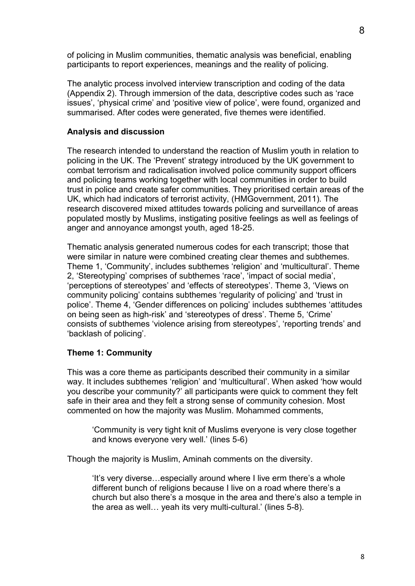of policing in Muslim communities, thematic analysis was beneficial, enabling participants to report experiences, meanings and the reality of policing.

The analytic process involved interview transcription and coding of the data (Appendix 2). Through immersion of the data, descriptive codes such as 'race issues', 'physical crime' and 'positive view of police', were found, organized and summarised. After codes were generated, five themes were identified.

## **Analysis and discussion**

The research intended to understand the reaction of Muslim youth in relation to policing in the UK. The 'Prevent' strategy introduced by the UK government to combat terrorism and radicalisation involved police community support officers and policing teams working together with local communities in order to build trust in police and create safer communities. They prioritised certain areas of the UK, which had indicators of terrorist activity, (HMGovernment, 2011). The research discovered mixed attitudes towards policing and surveillance of areas populated mostly by Muslims, instigating positive feelings as well as feelings of anger and annoyance amongst youth, aged 18-25.

Thematic analysis generated numerous codes for each transcript; those that were similar in nature were combined creating clear themes and subthemes. Theme 1, 'Community', includes subthemes 'religion' and 'multicultural'. Theme 2, 'Stereotyping' comprises of subthemes 'race', 'impact of social media', 'perceptions of stereotypes' and 'effects of stereotypes'. Theme 3, 'Views on community policing' contains subthemes 'regularity of policing' and 'trust in police'. Theme 4, 'Gender differences on policing' includes subthemes 'attitudes on being seen as high-risk' and 'stereotypes of dress'. Theme 5, 'Crime' consists of subthemes 'violence arising from stereotypes', 'reporting trends' and 'backlash of policing'.

### **Theme 1: Community**

This was a core theme as participants described their community in a similar way. It includes subthemes 'religion' and 'multicultural'. When asked 'how would you describe your community?' all participants were quick to comment they felt safe in their area and they felt a strong sense of community cohesion. Most commented on how the majority was Muslim. Mohammed comments,

'Community is very tight knit of Muslims everyone is very close together and knows everyone very well.' (lines 5-6)

Though the majority is Muslim, Aminah comments on the diversity.

'It's very diverse…especially around where I live erm there's a whole different bunch of religions because I live on a road where there's a church but also there's a mosque in the area and there's also a temple in the area as well… yeah its very multi-cultural.' (lines 5-8).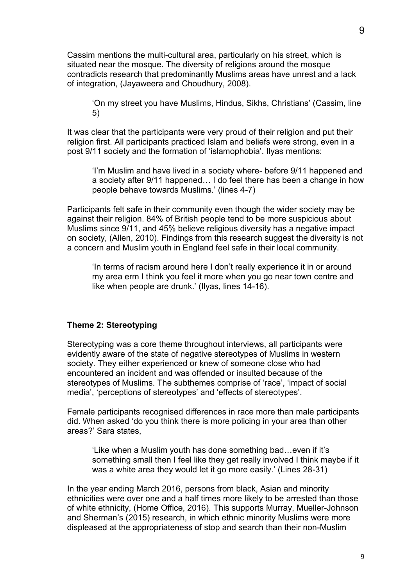Cassim mentions the multi-cultural area, particularly on his street, which is situated near the mosque. The diversity of religions around the mosque contradicts research that predominantly Muslims areas have unrest and a lack of integration, (Jayaweera and Choudhury, 2008).

'On my street you have Muslims, Hindus, Sikhs, Christians' (Cassim, line 5)

It was clear that the participants were very proud of their religion and put their religion first. All participants practiced Islam and beliefs were strong, even in a post 9/11 society and the formation of 'islamophobia'. Ilyas mentions:

'I'm Muslim and have lived in a society where- before 9/11 happened and a society after 9/11 happened… I do feel there has been a change in how people behave towards Muslims.' (lines 4-7)

Participants felt safe in their community even though the wider society may be against their religion. 84% of British people tend to be more suspicious about Muslims since 9/11, and 45% believe religious diversity has a negative impact on society, (Allen, 2010). Findings from this research suggest the diversity is not a concern and Muslim youth in England feel safe in their local community.

'In terms of racism around here I don't really experience it in or around my area erm I think you feel it more when you go near town centre and like when people are drunk.' (Ilyas, lines 14-16).

## **Theme 2: Stereotyping**

Stereotyping was a core theme throughout interviews, all participants were evidently aware of the state of negative stereotypes of Muslims in western society. They either experienced or knew of someone close who had encountered an incident and was offended or insulted because of the stereotypes of Muslims. The subthemes comprise of 'race', 'impact of social media', 'perceptions of stereotypes' and 'effects of stereotypes'.

Female participants recognised differences in race more than male participants did. When asked 'do you think there is more policing in your area than other areas?' Sara states,

'Like when a Muslim youth has done something bad…even if it's something small then I feel like they get really involved I think maybe if it was a white area they would let it go more easily.' (Lines 28-31)

In the year ending March 2016, persons from black, Asian and minority ethnicities were over one and a half times more likely to be arrested than those of white ethnicity, (Home Office, 2016). This supports Murray, Mueller-Johnson and Sherman's (2015) research, in which ethnic minority Muslims were more displeased at the appropriateness of stop and search than their non-Muslim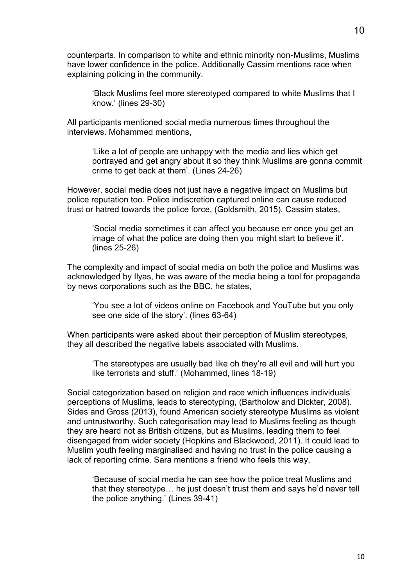counterparts. In comparison to white and ethnic minority non-Muslims, Muslims have lower confidence in the police. Additionally Cassim mentions race when explaining policing in the community.

'Black Muslims feel more stereotyped compared to white Muslims that I know.' (lines 29-30)

All participants mentioned social media numerous times throughout the interviews. Mohammed mentions,

'Like a lot of people are unhappy with the media and lies which get portrayed and get angry about it so they think Muslims are gonna commit crime to get back at them'. (Lines 24-26)

However, social media does not just have a negative impact on Muslims but police reputation too. Police indiscretion captured online can cause reduced trust or hatred towards the police force, (Goldsmith, 2015). Cassim states,

'Social media sometimes it can affect you because err once you get an image of what the police are doing then you might start to believe it'. (lines 25-26)

The complexity and impact of social media on both the police and Muslims was acknowledged by Ilyas, he was aware of the media being a tool for propaganda by news corporations such as the BBC, he states,

'You see a lot of videos online on Facebook and YouTube but you only see one side of the story'. (lines 63-64)

When participants were asked about their perception of Muslim stereotypes, they all described the negative labels associated with Muslims.

'The stereotypes are usually bad like oh they're all evil and will hurt you like terrorists and stuff.' (Mohammed, lines 18-19)

Social categorization based on religion and race which influences individuals' perceptions of Muslims, leads to stereotyping, (Bartholow and Dickter, 2008). Sides and Gross (2013), found American society stereotype Muslims as violent and untrustworthy. Such categorisation may lead to Muslims feeling as though they are heard not as British citizens, but as Muslims, leading them to feel disengaged from wider society (Hopkins and Blackwood, 2011). It could lead to Muslim youth feeling marginalised and having no trust in the police causing a lack of reporting crime. Sara mentions a friend who feels this way,

'Because of social media he can see how the police treat Muslims and that they stereotype… he just doesn't trust them and says he'd never tell the police anything.' (Lines 39-41)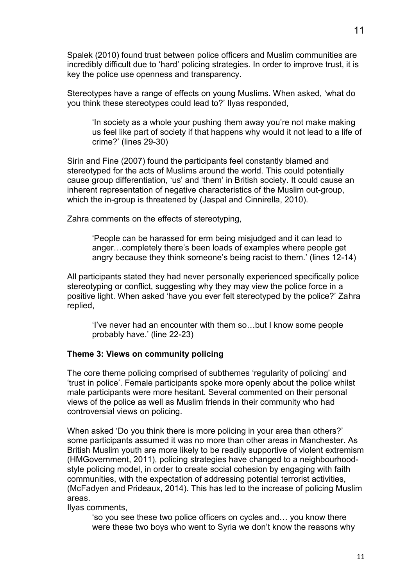Spalek (2010) found trust between police officers and Muslim communities are incredibly difficult due to 'hard' policing strategies. In order to improve trust, it is key the police use openness and transparency.

Stereotypes have a range of effects on young Muslims. When asked, 'what do you think these stereotypes could lead to?' Ilyas responded,

'In society as a whole your pushing them away you're not make making us feel like part of society if that happens why would it not lead to a life of crime?' (lines 29-30)

Sirin and Fine (2007) found the participants feel constantly blamed and stereotyped for the acts of Muslims around the world. This could potentially cause group differentiation, 'us' and 'them' in British society. It could cause an inherent representation of negative characteristics of the Muslim out-group, which the in-group is threatened by (Jaspal and Cinnirella, 2010).

Zahra comments on the effects of stereotyping,

'People can be harassed for erm being misjudged and it can lead to anger…completely there's been loads of examples where people get angry because they think someone's being racist to them.' (lines 12-14)

All participants stated they had never personally experienced specifically police stereotyping or conflict, suggesting why they may view the police force in a positive light. When asked 'have you ever felt stereotyped by the police?' Zahra replied,

'I've never had an encounter with them so…but I know some people probably have.' (line 22-23)

### **Theme 3: Views on community policing**

The core theme policing comprised of subthemes 'regularity of policing' and 'trust in police'. Female participants spoke more openly about the police whilst male participants were more hesitant. Several commented on their personal views of the police as well as Muslim friends in their community who had controversial views on policing.

When asked 'Do you think there is more policing in your area than others?' some participants assumed it was no more than other areas in Manchester. As British Muslim youth are more likely to be readily supportive of violent extremism (HMGovernment, 2011), policing strategies have changed to a neighbourhoodstyle policing model, in order to create social cohesion by engaging with faith communities, with the expectation of addressing potential terrorist activities, (McFadyen and Prideaux, 2014). This has led to the increase of policing Muslim areas.

Ilyas comments,

'so you see these two police officers on cycles and… you know there were these two boys who went to Syria we don't know the reasons why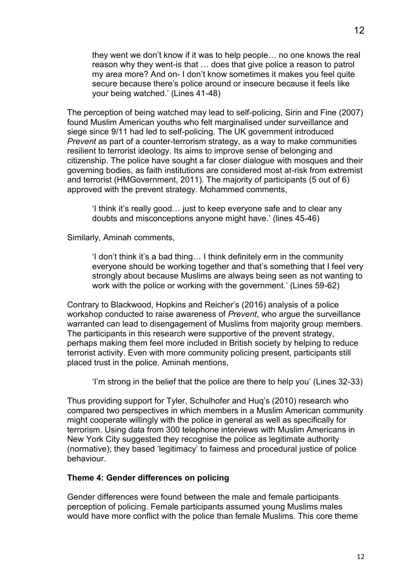they went we don't know if it was to help people… no one knows the real reason why they went-is that … does that give police a reason to patrol my area more? And on- I don't know sometimes it makes you feel quite secure because there's police around or insecure because it feels like your being watched.' (Lines 41-48)

The perception of being watched may lead to self-policing, Sirin and Fine (2007) found Muslim American youths who felt marginalised under surveillance and siege since 9/11 had led to self-policing. The UK government introduced *Prevent* as part of a counter-terrorism strategy, as a way to make communities resilient to terrorist ideology. Its aims to improve sense of belonging and citizenship. The police have sought a far closer dialogue with mosques and their governing bodies, as faith institutions are considered most at-risk from extremist and terrorist (HMGovernment, 2011). The majority of participants (5 out of 6) approved with the prevent strategy. Mohammed comments,

'I think it's really good… just to keep everyone safe and to clear any doubts and misconceptions anyone might have.' (lines 45-46)

Similarly, Aminah comments,

'I don't think it's a bad thing… I think definitely erm in the community everyone should be working together and that's something that I feel very strongly about because Muslims are always being seen as not wanting to work with the police or working with the government.' (Lines 59-62)

Contrary to Blackwood, Hopkins and Reicher's (2016) analysis of a police workshop conducted to raise awareness of *Prevent*, who argue the surveillance warranted can lead to disengagement of Muslims from majority group members. The participants in this research were supportive of the prevent strategy, perhaps making them feel more included in British society by helping to reduce terrorist activity. Even with more community policing present, participants still placed trust in the police. Aminah mentions,

'I'm strong in the belief that the police are there to help you' (Lines 32-33)

Thus providing support for Tyler, Schulhofer and Huq's (2010) research who compared two perspectives in which members in a Muslim American community might cooperate willingly with the police in general as well as specifically for terrorism. Using data from 300 telephone interviews with Muslim Americans in New York City suggested they recognise the police as legitimate authority (normative); they based 'legitimacy' to fairness and procedural justice of police behaviour.

### **Theme 4: Gender differences on policing**

Gender differences were found between the male and female participants perception of policing. Female participants assumed young Muslims males would have more conflict with the police than female Muslims. This core theme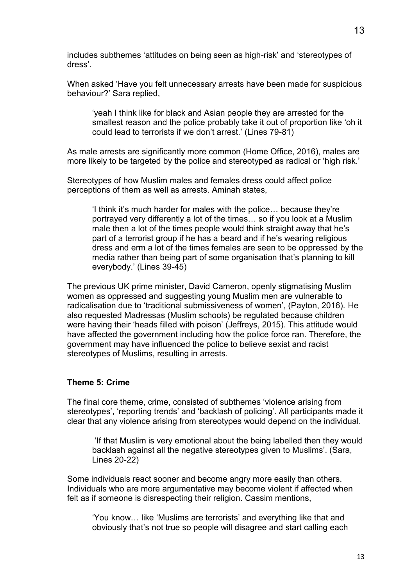includes subthemes 'attitudes on being seen as high-risk' and 'stereotypes of dress'.

When asked 'Have you felt unnecessary arrests have been made for suspicious behaviour?' Sara replied,

'yeah I think like for black and Asian people they are arrested for the smallest reason and the police probably take it out of proportion like 'oh it could lead to terrorists if we don't arrest.' (Lines 79-81)

As male arrests are significantly more common (Home Office, 2016), males are more likely to be targeted by the police and stereotyped as radical or 'high risk.'

Stereotypes of how Muslim males and females dress could affect police perceptions of them as well as arrests. Aminah states,

'I think it's much harder for males with the police… because they're portrayed very differently a lot of the times… so if you look at a Muslim male then a lot of the times people would think straight away that he's part of a terrorist group if he has a beard and if he's wearing religious dress and erm a lot of the times females are seen to be oppressed by the media rather than being part of some organisation that's planning to kill everybody.' (Lines 39-45)

The previous UK prime minister, David Cameron, openly stigmatising Muslim women as oppressed and suggesting young Muslim men are vulnerable to radicalisation due to 'traditional submissiveness of women', (Payton, 2016). He also requested Madressas (Muslim schools) be regulated because children were having their 'heads filled with poison' (Jeffreys, 2015). This attitude would have affected the government including how the police force ran. Therefore, the government may have influenced the police to believe sexist and racist stereotypes of Muslims, resulting in arrests.

### **Theme 5: Crime**

The final core theme, crime, consisted of subthemes 'violence arising from stereotypes', 'reporting trends' and 'backlash of policing'. All participants made it clear that any violence arising from stereotypes would depend on the individual.

'If that Muslim is very emotional about the being labelled then they would backlash against all the negative stereotypes given to Muslims'. (Sara, Lines 20-22)

Some individuals react sooner and become angry more easily than others. Individuals who are more argumentative may become violent if affected when felt as if someone is disrespecting their religion. Cassim mentions,

'You know… like 'Muslims are terrorists' and everything like that and obviously that's not true so people will disagree and start calling each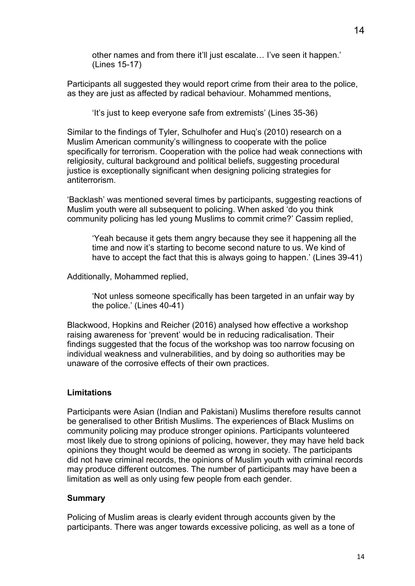other names and from there it'll just escalate… I've seen it happen.' (Lines 15-17)

Participants all suggested they would report crime from their area to the police, as they are just as affected by radical behaviour. Mohammed mentions,

'It's just to keep everyone safe from extremists' (Lines 35-36)

Similar to the findings of Tyler, Schulhofer and Huq's (2010) research on a Muslim American community's willingness to cooperate with the police specifically for terrorism. Cooperation with the police had weak connections with religiosity, cultural background and political beliefs, suggesting procedural justice is exceptionally significant when designing policing strategies for antiterrorism.

'Backlash' was mentioned several times by participants, suggesting reactions of Muslim youth were all subsequent to policing. When asked 'do you think community policing has led young Muslims to commit crime?' Cassim replied,

'Yeah because it gets them angry because they see it happening all the time and now it's starting to become second nature to us. We kind of have to accept the fact that this is always going to happen.' (Lines 39-41)

Additionally, Mohammed replied,

'Not unless someone specifically has been targeted in an unfair way by the police.' (Lines 40-41)

Blackwood, Hopkins and Reicher (2016) analysed how effective a workshop raising awareness for 'prevent' would be in reducing radicalisation. Their findings suggested that the focus of the workshop was too narrow focusing on individual weakness and vulnerabilities, and by doing so authorities may be unaware of the corrosive effects of their own practices.

## **Limitations**

Participants were Asian (Indian and Pakistani) Muslims therefore results cannot be generalised to other British Muslims. The experiences of Black Muslims on community policing may produce stronger opinions. Participants volunteered most likely due to strong opinions of policing, however, they may have held back opinions they thought would be deemed as wrong in society. The participants did not have criminal records, the opinions of Muslim youth with criminal records may produce different outcomes. The number of participants may have been a limitation as well as only using few people from each gender.

### **Summary**

Policing of Muslim areas is clearly evident through accounts given by the participants. There was anger towards excessive policing, as well as a tone of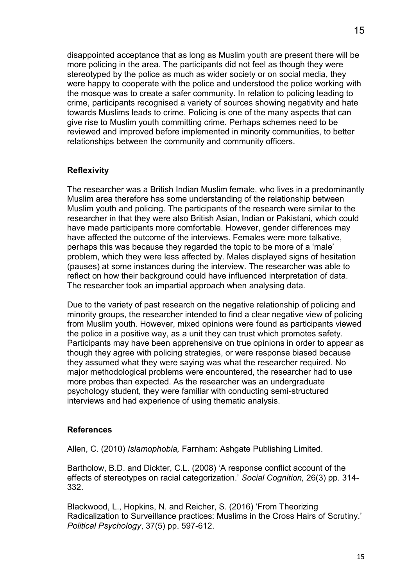disappointed acceptance that as long as Muslim youth are present there will be more policing in the area. The participants did not feel as though they were stereotyped by the police as much as wider society or on social media, they were happy to cooperate with the police and understood the police working with the mosque was to create a safer community. In relation to policing leading to crime, participants recognised a variety of sources showing negativity and hate towards Muslims leads to crime. Policing is one of the many aspects that can give rise to Muslim youth committing crime. Perhaps schemes need to be reviewed and improved before implemented in minority communities, to better relationships between the community and community officers.

# **Reflexivity**

The researcher was a British Indian Muslim female, who lives in a predominantly Muslim area therefore has some understanding of the relationship between Muslim youth and policing. The participants of the research were similar to the researcher in that they were also British Asian, Indian or Pakistani, which could have made participants more comfortable. However, gender differences may have affected the outcome of the interviews. Females were more talkative, perhaps this was because they regarded the topic to be more of a 'male' problem, which they were less affected by. Males displayed signs of hesitation (pauses) at some instances during the interview. The researcher was able to reflect on how their background could have influenced interpretation of data. The researcher took an impartial approach when analysing data.

Due to the variety of past research on the negative relationship of policing and minority groups, the researcher intended to find a clear negative view of policing from Muslim youth. However, mixed opinions were found as participants viewed the police in a positive way, as a unit they can trust which promotes safety. Participants may have been apprehensive on true opinions in order to appear as though they agree with policing strategies, or were response biased because they assumed what they were saying was what the researcher required. No major methodological problems were encountered, the researcher had to use more probes than expected. As the researcher was an undergraduate psychology student, they were familiar with conducting semi-structured interviews and had experience of using thematic analysis.

## **References**

Allen, C. (2010) *Islamophobia,* Farnham: Ashgate Publishing Limited.

Bartholow, B.D. and Dickter, C.L. (2008) 'A response conflict account of the effects of stereotypes on racial categorization.' *Social Cognition,* 26(3) pp. 314- 332.

Blackwood, L., Hopkins, N. and Reicher, S. (2016) 'From Theorizing Radicalization to Surveillance practices: Muslims in the Cross Hairs of Scrutiny.' *Political Psychology*, 37(5) pp. 597-612.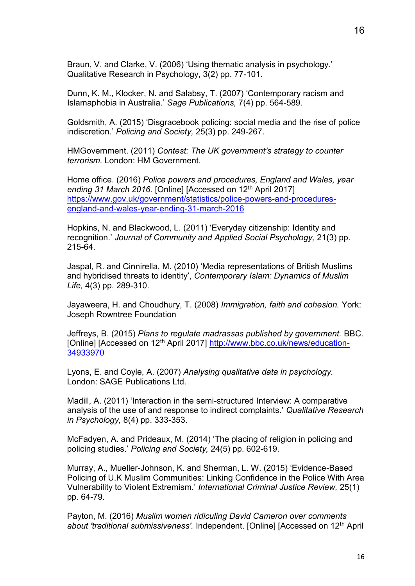Braun, V. and Clarke, V. (2006) 'Using thematic analysis in psychology.' Qualitative Research in Psychology, 3(2) pp. 77-101.

Dunn, K. M., Klocker, N. and Salabsy, T. (2007) 'Contemporary racism and Islamaphobia in Australia.' *Sage Publications,* 7(4) pp. 564-589.

Goldsmith, A. (2015) 'Disgracebook policing: social media and the rise of police indiscretion.' *Policing and Society,* 25(3) pp. 249-267.

HMGovernment. (2011) *Contest: The UK government's strategy to counter terrorism.* London: HM Government.

Home office. (2016) *Police powers and procedures, England and Wales, year*  ending 31 March 2016. [Online] [Accessed on 12<sup>th</sup> April 2017] [https://www.gov.uk/government/statistics/police-powers-and-procedures](https://www.gov.uk/government/statistics/police-powers-and-procedures-england-and-wales-year-ending-31-march-2016)[england-and-wales-year-ending-31-march-2016](https://www.gov.uk/government/statistics/police-powers-and-procedures-england-and-wales-year-ending-31-march-2016)

Hopkins, N. and Blackwood, L. (2011) 'Everyday citizenship: Identity and recognition.' *Journal of Community and Applied Social Psychology,* 21(3) pp. 215-64.

Jaspal, R. and Cinnirella, M. (2010) 'Media representations of British Muslims and hybridised threats to identity', *Contemporary Islam: Dynamics of Muslim Life,* 4(3) pp. 289-310.

Jayaweera, H. and Choudhury, T. (2008) *Immigration, faith and cohesion.* York: Joseph Rowntree Foundation

Jeffreys, B. (2015) *Plans to regulate madrassas published by government.* BBC. [Online] [Accessed on 12<sup>th</sup> April 2017] [http://www.bbc.co.uk/news/education-](http://www.bbc.co.uk/news/education-34933970)[34933970](http://www.bbc.co.uk/news/education-34933970)

Lyons, E. and Coyle, A. (2007) *Analysing qualitative data in psychology.*  London: SAGE Publications Ltd.

Madill, A. (2011) 'Interaction in the semi-structured Interview: A comparative analysis of the use of and response to indirect complaints.' *Qualitative Research in Psychology,* 8(4) pp. 333-353.

McFadyen, A. and Prideaux, M. (2014) 'The placing of religion in policing and policing studies.' *Policing and Society,* 24(5) pp. 602-619.

Murray, A., Mueller-Johnson, K. and Sherman, L. W. (2015) 'Evidence-Based Policing of U.K Muslim Communities: Linking Confidence in the Police With Area Vulnerability to Violent Extremism.' *International Criminal Justice Review,* 25(1) pp. 64-79.

Payton, M. (2016) *Muslim women ridiculing David Cameron over comments about 'traditional submissiveness'.* Independent. [Online] [Accessed on 12th April